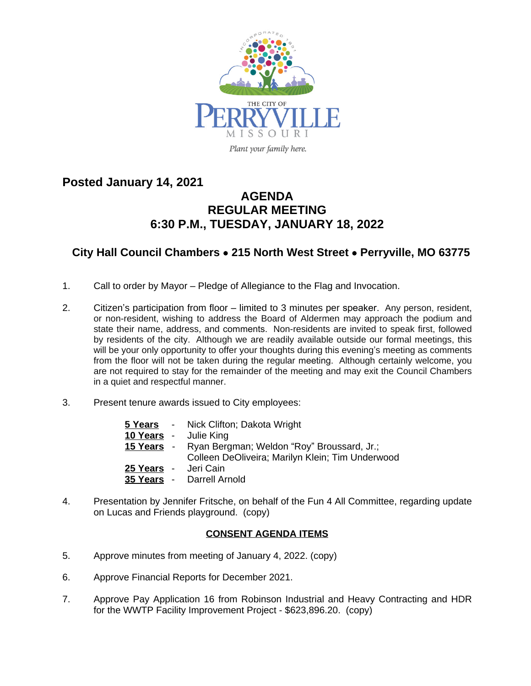

**Posted January 14, 2021**

## **AGENDA REGULAR MEETING 6:30 P.M., TUESDAY, JANUARY 18, 2022**

## **City Hall Council Chambers** · **215 North West Street** · **Perryville, MO 63775**

- 1. Call to order by Mayor Pledge of Allegiance to the Flag and Invocation.
- 2. Citizen's participation from floor limited to 3 minutes per speaker. Any person, resident, or non-resident, wishing to address the Board of Aldermen may approach the podium and state their name, address, and comments. Non-residents are invited to speak first, followed by residents of the city. Although we are readily available outside our formal meetings, this will be your only opportunity to offer your thoughts during this evening's meeting as comments from the floor will not be taken during the regular meeting. Although certainly welcome, you are not required to stay for the remainder of the meeting and may exit the Council Chambers in a quiet and respectful manner.
- 3. Present tenure awards issued to City employees:

|                      | <b>5 Years</b> - Nick Clifton; Dakota Wright<br>10 Years - Julie King                                            |
|----------------------|------------------------------------------------------------------------------------------------------------------|
|                      | <b>15 Years</b> - Ryan Bergman; Weldon "Roy" Broussard, Jr.;<br>Colleen DeOliveira; Marilyn Klein; Tim Underwood |
| 25 Years - Jeri Cain | 35 Years - Darrell Arnold                                                                                        |

4. Presentation by Jennifer Fritsche, on behalf of the Fun 4 All Committee, regarding update on Lucas and Friends playground. (copy)

## **CONSENT AGENDA ITEMS**

- 5. Approve minutes from meeting of January 4, 2022. (copy)
- 6. Approve Financial Reports for December 2021.
- 7. Approve Pay Application 16 from Robinson Industrial and Heavy Contracting and HDR for the WWTP Facility Improvement Project - \$623,896.20. (copy)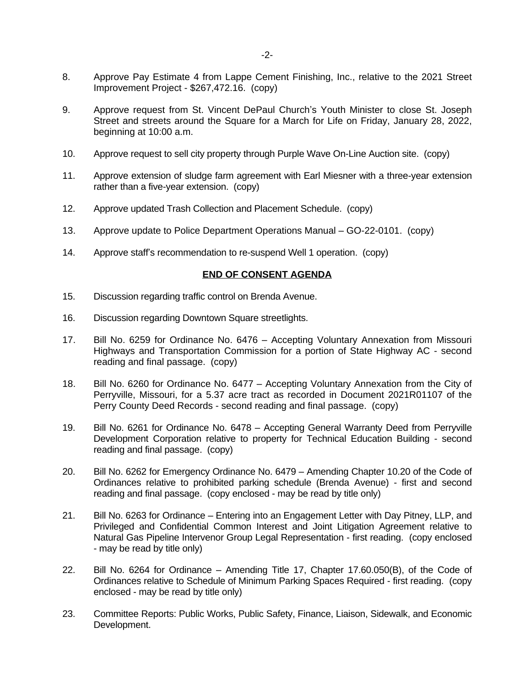- 8. Approve Pay Estimate 4 from Lappe Cement Finishing, Inc., relative to the 2021 Street Improvement Project - \$267,472.16. (copy)
- 9. Approve request from St. Vincent DePaul Church's Youth Minister to close St. Joseph Street and streets around the Square for a March for Life on Friday, January 28, 2022, beginning at 10:00 a.m.
- 10. Approve request to sell city property through Purple Wave On-Line Auction site. (copy)
- 11. Approve extension of sludge farm agreement with Earl Miesner with a three-year extension rather than a five-year extension. (copy)
- 12. Approve updated Trash Collection and Placement Schedule. (copy)
- 13. Approve update to Police Department Operations Manual GO-22-0101. (copy)
- 14. Approve staff's recommendation to re-suspend Well 1 operation. (copy)

## **END OF CONSENT AGENDA**

- 15. Discussion regarding traffic control on Brenda Avenue.
- 16. Discussion regarding Downtown Square streetlights.
- 17. Bill No. 6259 for Ordinance No. 6476 Accepting Voluntary Annexation from Missouri Highways and Transportation Commission for a portion of State Highway AC - second reading and final passage. (copy)
- 18. Bill No. 6260 for Ordinance No. 6477 Accepting Voluntary Annexation from the City of Perryville, Missouri, for a 5.37 acre tract as recorded in Document 2021R01107 of the Perry County Deed Records - second reading and final passage. (copy)
- 19. Bill No. 6261 for Ordinance No. 6478 Accepting General Warranty Deed from Perryville Development Corporation relative to property for Technical Education Building - second reading and final passage. (copy)
- 20. Bill No. 6262 for Emergency Ordinance No. 6479 Amending Chapter 10.20 of the Code of Ordinances relative to prohibited parking schedule (Brenda Avenue) - first and second reading and final passage. (copy enclosed - may be read by title only)
- 21. Bill No. 6263 for Ordinance Entering into an Engagement Letter with Day Pitney, LLP, and Privileged and Confidential Common Interest and Joint Litigation Agreement relative to Natural Gas Pipeline Intervenor Group Legal Representation - first reading. (copy enclosed - may be read by title only)
- 22. Bill No. 6264 for Ordinance Amending Title 17, Chapter 17.60.050(B), of the Code of Ordinances relative to Schedule of Minimum Parking Spaces Required - first reading. (copy enclosed - may be read by title only)
- 23. Committee Reports: Public Works, Public Safety, Finance, Liaison, Sidewalk, and Economic Development.